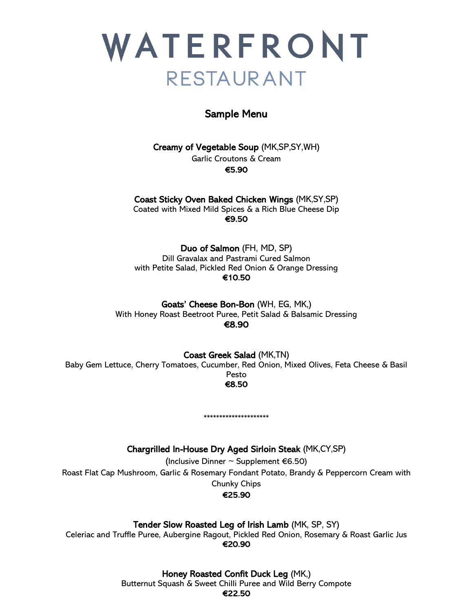

# Sample Menu

Creamy of Vegetable Soup (MK,SP,SY,WH) Garlic Croutons & Cream €5.90

Coast Sticky Oven Baked Chicken Wings (MK,SY,SP) Coated with Mixed Mild Spices & a Rich Blue Cheese Dip €9.50

Duo of Salmon (FH, MD, SP) Dill Gravalax and Pastrami Cured Salmon with Petite Salad, Pickled Red Onion & Orange Dressing €10.50

Goats' Cheese Bon-Bon (WH, EG, MK,) With Honey Roast Beetroot Puree, Petit Salad & Balsamic Dressing €8.90

Coast Greek Salad (MK,TN) Baby Gem Lettuce, Cherry Tomatoes, Cucumber, Red Onion, Mixed Olives, Feta Cheese & Basil Pesto €8.50

Chargrilled In-House Dry Aged Sirloin Steak (MK,CY,SP)

\*\*\*\*\*\*\*\*\*\*\*\*\*\*\*\*\*\*\*\*

(Inclusive Dinner  $\sim$  Supplement €6.50) Roast Flat Cap Mushroom, Garlic & Rosemary Fondant Potato, Brandy & Peppercorn Cream with Chunky Chips €25.90

Tender Slow Roasted Leg of Irish Lamb (MK, SP, SY)

Celeriac and Truffle Puree, Aubergine Ragout, Pickled Red Onion, Rosemary & Roast Garlic Jus €20.90

> Honey Roasted Confit Duck Leg (MK,) Butternut Squash & Sweet Chilli Puree and Wild Berry Compote €22.50